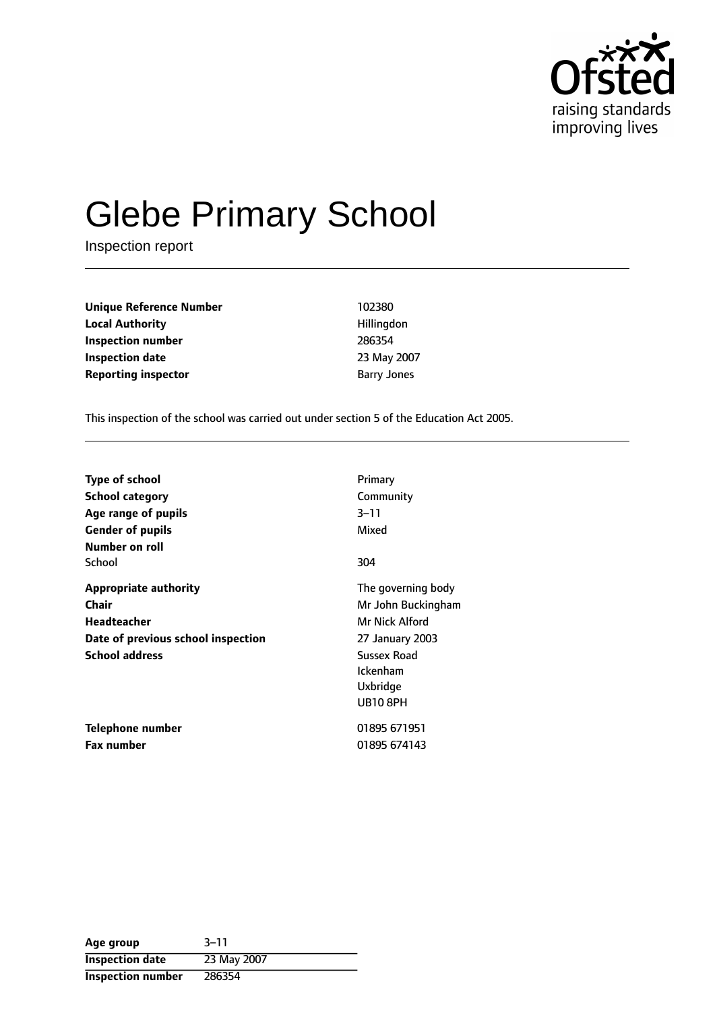

# Glebe Primary School

Inspection report

| <b>Unique Reference Number</b> | 102380             |
|--------------------------------|--------------------|
| <b>Local Authority</b>         | Hillingdon         |
| Inspection number              | 286354             |
| <b>Inspection date</b>         | 23 May 200         |
| <b>Reporting inspector</b>     | <b>Barry Jones</b> |

**Local Authority** Hillingdon **Inspection number** 286354 **Inspection date** 23 May 2007

This inspection of the school was carried out under section 5 of the Education Act 2005.

| <b>Type of school</b><br><b>School category</b>                                                                     | Primary<br>Community                                                                                                 |
|---------------------------------------------------------------------------------------------------------------------|----------------------------------------------------------------------------------------------------------------------|
| Age range of pupils<br><b>Gender of pupils</b>                                                                      | 3–11<br>Mixed                                                                                                        |
| Number on roll<br>School                                                                                            | 304                                                                                                                  |
| <b>Appropriate authority</b><br>Chair<br>Headteacher<br>Date of previous school inspection<br><b>School address</b> | The governing body<br>Mr John Buckingham<br>Mr Nick Alford<br>27 January 2003<br>Sussex Road<br>Ickenham<br>Uxbridge |
| Telephone number<br><b>Fax number</b>                                                                               | <b>UB10 8PH</b><br>01895 671951<br>01895 674143                                                                      |

| Age group                | $3 - 11$    |
|--------------------------|-------------|
| <b>Inspection date</b>   | 23 May 2007 |
| <b>Inspection number</b> | 286354      |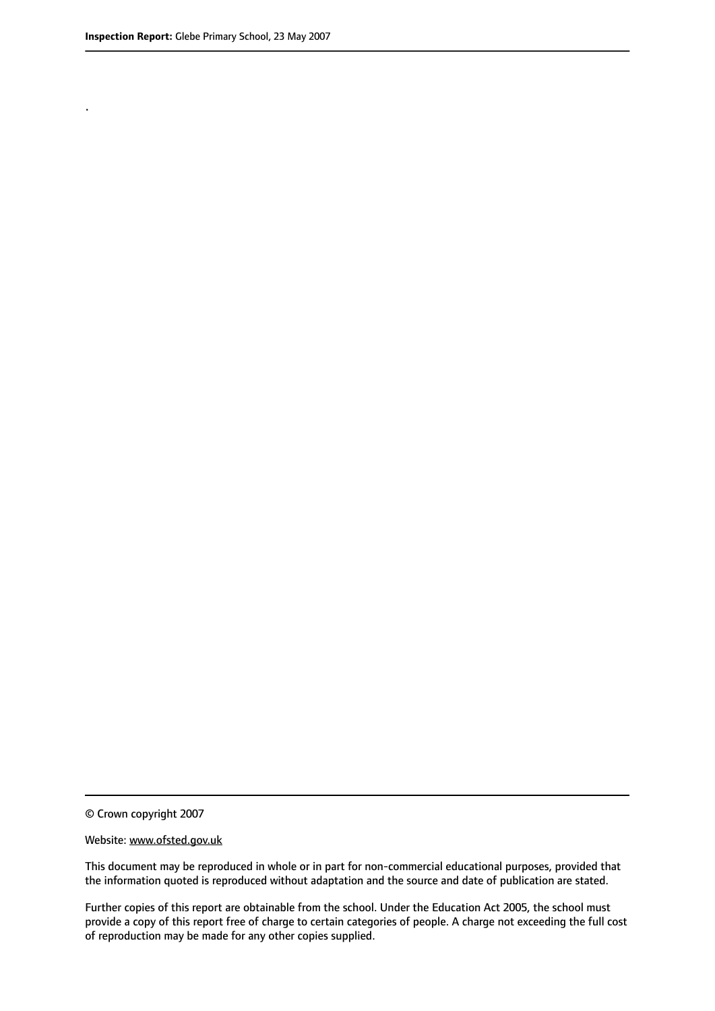.

© Crown copyright 2007

#### Website: www.ofsted.gov.uk

This document may be reproduced in whole or in part for non-commercial educational purposes, provided that the information quoted is reproduced without adaptation and the source and date of publication are stated.

Further copies of this report are obtainable from the school. Under the Education Act 2005, the school must provide a copy of this report free of charge to certain categories of people. A charge not exceeding the full cost of reproduction may be made for any other copies supplied.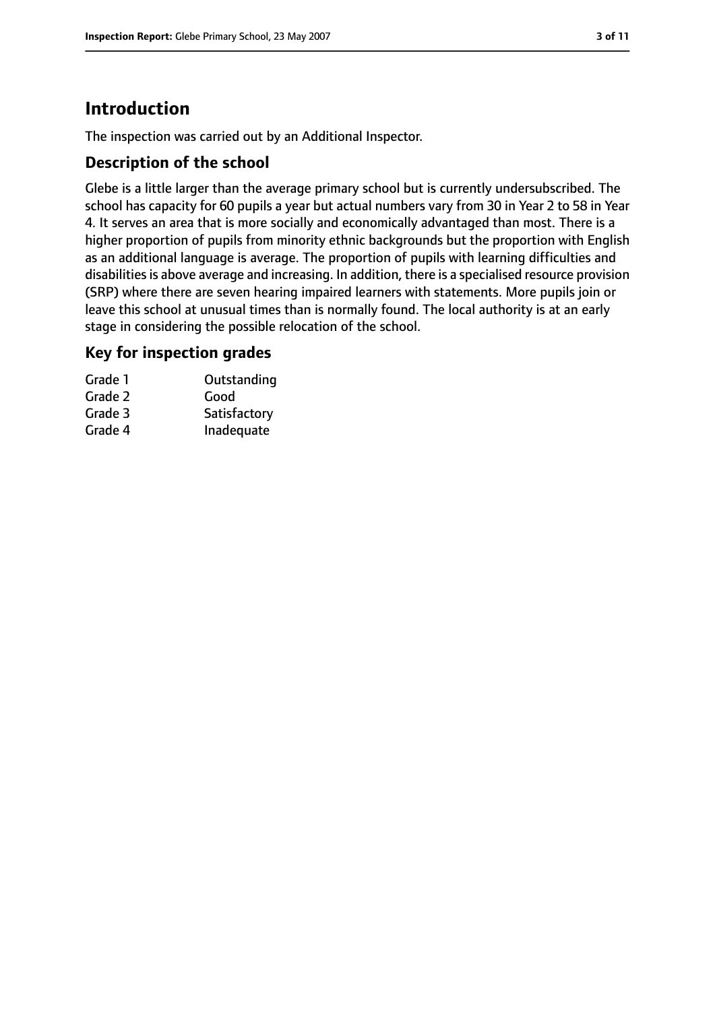# **Introduction**

The inspection was carried out by an Additional Inspector.

## **Description of the school**

Glebe is a little larger than the average primary school but is currently undersubscribed. The school has capacity for 60 pupils a year but actual numbers vary from 30 in Year 2 to 58 in Year 4. It serves an area that is more socially and economically advantaged than most. There is a higher proportion of pupils from minority ethnic backgrounds but the proportion with English as an additional language is average. The proportion of pupils with learning difficulties and disabilities is above average and increasing. In addition, there is a specialised resource provision (SRP) where there are seven hearing impaired learners with statements. More pupils join or leave this school at unusual times than is normally found. The local authority is at an early stage in considering the possible relocation of the school.

## **Key for inspection grades**

| Grade 1 | Outstanding  |
|---------|--------------|
| Grade 2 | Good         |
| Grade 3 | Satisfactory |
| Grade 4 | Inadequate   |
|         |              |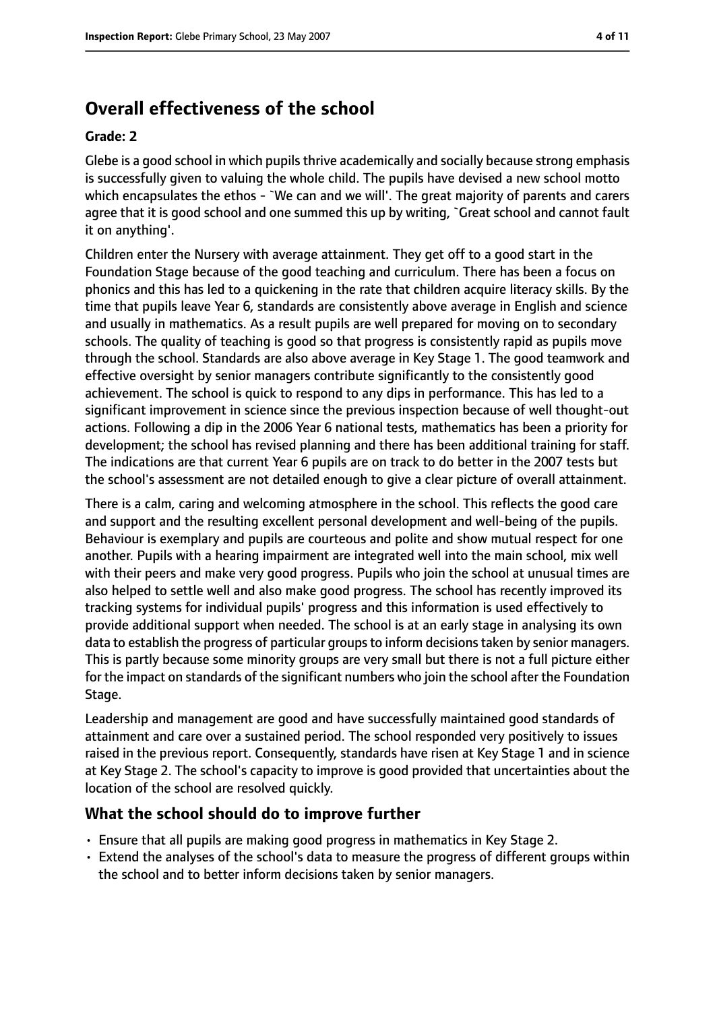# **Overall effectiveness of the school**

#### **Grade: 2**

Glebe is a good school in which pupils thrive academically and socially because strong emphasis is successfully given to valuing the whole child. The pupils have devised a new school motto which encapsulates the ethos - `We can and we will'. The great majority of parents and carers agree that it is good school and one summed this up by writing, `Great school and cannot fault it on anything'.

Children enter the Nursery with average attainment. They get off to a good start in the Foundation Stage because of the good teaching and curriculum. There has been a focus on phonics and this has led to a quickening in the rate that children acquire literacy skills. By the time that pupils leave Year 6, standards are consistently above average in English and science and usually in mathematics. As a result pupils are well prepared for moving on to secondary schools. The quality of teaching is good so that progress is consistently rapid as pupils move through the school. Standards are also above average in Key Stage 1. The good teamwork and effective oversight by senior managers contribute significantly to the consistently good achievement. The school is quick to respond to any dips in performance. This has led to a significant improvement in science since the previous inspection because of well thought-out actions. Following a dip in the 2006 Year 6 national tests, mathematics has been a priority for development; the school has revised planning and there has been additional training for staff. The indications are that current Year 6 pupils are on track to do better in the 2007 tests but the school's assessment are not detailed enough to give a clear picture of overall attainment.

There is a calm, caring and welcoming atmosphere in the school. This reflects the good care and support and the resulting excellent personal development and well-being of the pupils. Behaviour is exemplary and pupils are courteous and polite and show mutual respect for one another. Pupils with a hearing impairment are integrated well into the main school, mix well with their peers and make very good progress. Pupils who join the school at unusual times are also helped to settle well and also make good progress. The school has recently improved its tracking systems for individual pupils' progress and this information is used effectively to provide additional support when needed. The school is at an early stage in analysing its own data to establish the progress of particular groups to inform decisions taken by senior managers. This is partly because some minority groups are very small but there is not a full picture either for the impact on standards of the significant numbers who join the school after the Foundation Stage.

Leadership and management are good and have successfully maintained good standards of attainment and care over a sustained period. The school responded very positively to issues raised in the previous report. Consequently, standards have risen at Key Stage 1 and in science at Key Stage 2. The school's capacity to improve is good provided that uncertainties about the location of the school are resolved quickly.

#### **What the school should do to improve further**

- Ensure that all pupils are making good progress in mathematics in Key Stage 2.
- Extend the analyses of the school's data to measure the progress of different groups within the school and to better inform decisions taken by senior managers.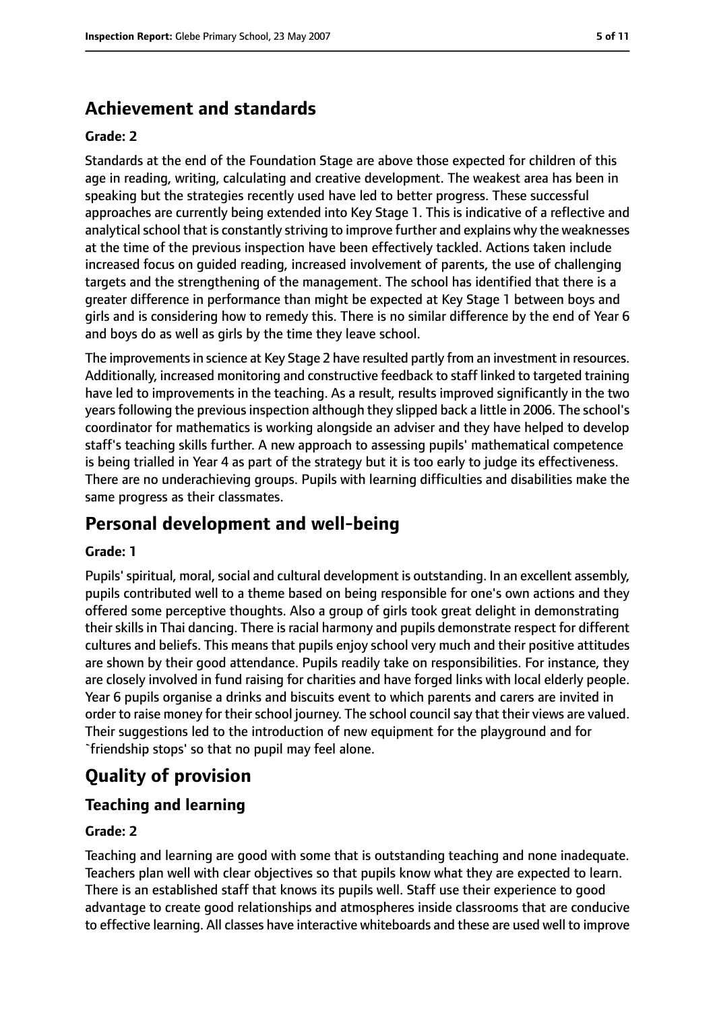# **Achievement and standards**

#### **Grade: 2**

Standards at the end of the Foundation Stage are above those expected for children of this age in reading, writing, calculating and creative development. The weakest area has been in speaking but the strategies recently used have led to better progress. These successful approaches are currently being extended into Key Stage 1. This is indicative of a reflective and analytical school that is constantly striving to improve further and explains why the weaknesses at the time of the previous inspection have been effectively tackled. Actions taken include increased focus on guided reading, increased involvement of parents, the use of challenging targets and the strengthening of the management. The school has identified that there is a greater difference in performance than might be expected at Key Stage 1 between boys and girls and is considering how to remedy this. There is no similar difference by the end of Year 6 and boys do as well as girls by the time they leave school.

The improvements in science at Key Stage 2 have resulted partly from an investment in resources. Additionally, increased monitoring and constructive feedback to staff linked to targeted training have led to improvements in the teaching. As a result, results improved significantly in the two years following the previous inspection although they slipped back a little in 2006. The school's coordinator for mathematics is working alongside an adviser and they have helped to develop staff's teaching skills further. A new approach to assessing pupils' mathematical competence is being trialled in Year 4 as part of the strategy but it is too early to judge its effectiveness. There are no underachieving groups. Pupils with learning difficulties and disabilities make the same progress as their classmates.

## **Personal development and well-being**

#### **Grade: 1**

Pupils' spiritual, moral, social and cultural development is outstanding. In an excellent assembly, pupils contributed well to a theme based on being responsible for one's own actions and they offered some perceptive thoughts. Also a group of girls took great delight in demonstrating their skills in Thai dancing. There is racial harmony and pupils demonstrate respect for different cultures and beliefs. This means that pupils enjoy school very much and their positive attitudes are shown by their good attendance. Pupils readily take on responsibilities. For instance, they are closely involved in fund raising for charities and have forged links with local elderly people. Year 6 pupils organise a drinks and biscuits event to which parents and carers are invited in order to raise money for their school journey. The school council say that their views are valued. Their suggestions led to the introduction of new equipment for the playground and for `friendship stops' so that no pupil may feel alone.

# **Quality of provision**

#### **Teaching and learning**

#### **Grade: 2**

Teaching and learning are good with some that is outstanding teaching and none inadequate. Teachers plan well with clear objectives so that pupils know what they are expected to learn. There is an established staff that knows its pupils well. Staff use their experience to good advantage to create good relationships and atmospheres inside classrooms that are conducive to effective learning. All classes have interactive whiteboards and these are used well to improve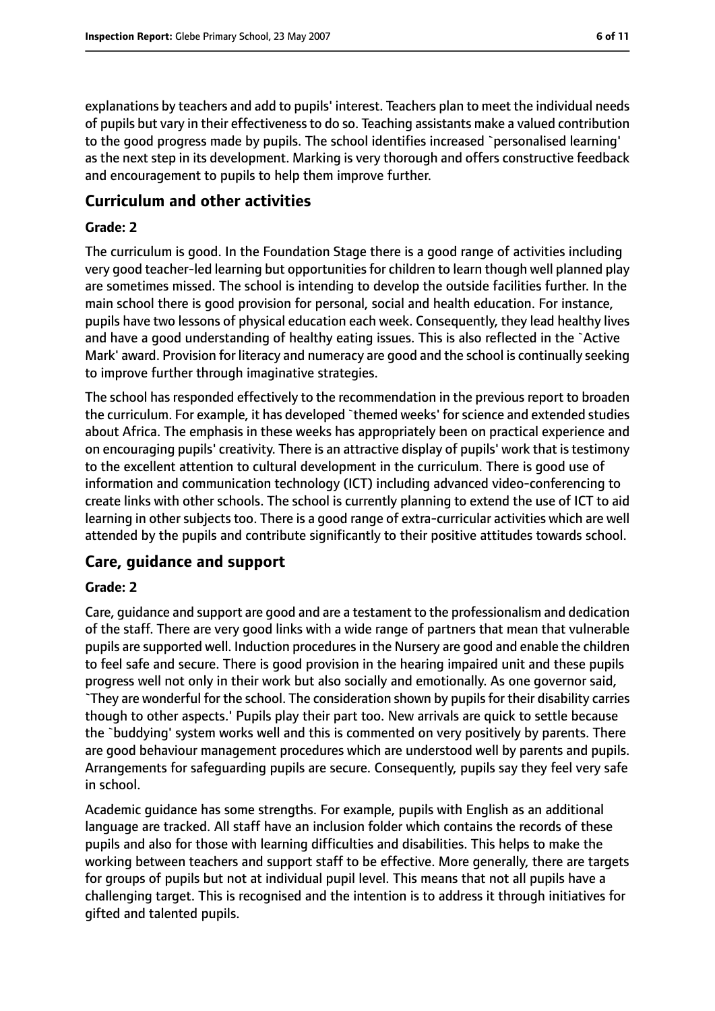explanations by teachers and add to pupils' interest. Teachers plan to meet the individual needs of pupils but vary in their effectiveness to do so. Teaching assistants make a valued contribution to the good progress made by pupils. The school identifies increased `personalised learning' as the next step in its development. Marking is very thorough and offers constructive feedback and encouragement to pupils to help them improve further.

#### **Curriculum and other activities**

#### **Grade: 2**

The curriculum is good. In the Foundation Stage there is a good range of activities including very good teacher-led learning but opportunities for children to learn though well planned play are sometimes missed. The school is intending to develop the outside facilities further. In the main school there is good provision for personal, social and health education. For instance, pupils have two lessons of physical education each week. Consequently, they lead healthy lives and have a good understanding of healthy eating issues. This is also reflected in the `Active Mark' award. Provision for literacy and numeracy are good and the school is continually seeking to improve further through imaginative strategies.

The school has responded effectively to the recommendation in the previous report to broaden the curriculum. For example, it has developed `themed weeks' forscience and extended studies about Africa. The emphasis in these weeks has appropriately been on practical experience and on encouraging pupils' creativity. There is an attractive display of pupils' work that is testimony to the excellent attention to cultural development in the curriculum. There is good use of information and communication technology (ICT) including advanced video-conferencing to create links with other schools. The school is currently planning to extend the use of ICT to aid learning in other subjects too. There is a good range of extra-curricular activities which are well attended by the pupils and contribute significantly to their positive attitudes towards school.

## **Care, guidance and support**

#### **Grade: 2**

Care, guidance and support are good and are a testament to the professionalism and dedication of the staff. There are very good links with a wide range of partners that mean that vulnerable pupils are supported well. Induction procedures in the Nursery are good and enable the children to feel safe and secure. There is good provision in the hearing impaired unit and these pupils progress well not only in their work but also socially and emotionally. As one governor said, `They are wonderful for the school. The consideration shown by pupils for their disability carries though to other aspects.' Pupils play their part too. New arrivals are quick to settle because the `buddying' system works well and this is commented on very positively by parents. There are good behaviour management procedures which are understood well by parents and pupils. Arrangements for safeguarding pupils are secure. Consequently, pupils say they feel very safe in school.

Academic guidance has some strengths. For example, pupils with English as an additional language are tracked. All staff have an inclusion folder which contains the records of these pupils and also for those with learning difficulties and disabilities. This helps to make the working between teachers and support staff to be effective. More generally, there are targets for groups of pupils but not at individual pupil level. This means that not all pupils have a challenging target. This is recognised and the intention is to address it through initiatives for gifted and talented pupils.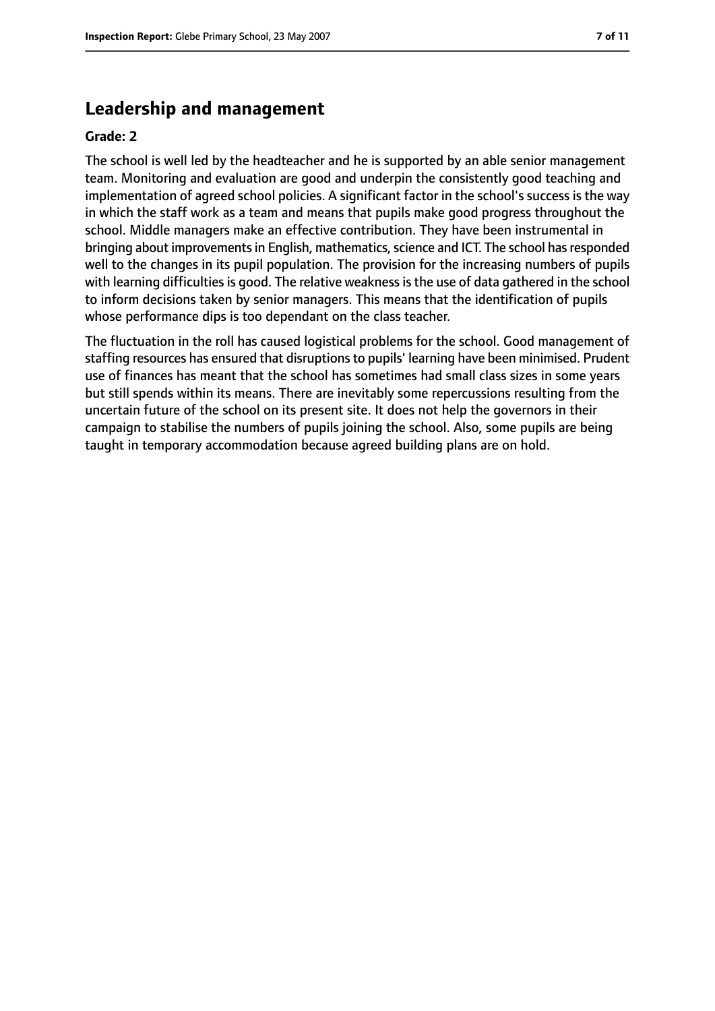## **Leadership and management**

#### **Grade: 2**

The school is well led by the headteacher and he is supported by an able senior management team. Monitoring and evaluation are good and underpin the consistently good teaching and implementation of agreed school policies. A significant factor in the school's success is the way in which the staff work as a team and means that pupils make good progress throughout the school. Middle managers make an effective contribution. They have been instrumental in bringing about improvements in English, mathematics, science and ICT. The school has responded well to the changes in its pupil population. The provision for the increasing numbers of pupils with learning difficulties is good. The relative weakness is the use of data gathered in the school to inform decisions taken by senior managers. This means that the identification of pupils whose performance dips is too dependant on the class teacher.

The fluctuation in the roll has caused logistical problems for the school. Good management of staffing resources has ensured that disruptions to pupils' learning have been minimised. Prudent use of finances has meant that the school has sometimes had small class sizes in some years but still spends within its means. There are inevitably some repercussions resulting from the uncertain future of the school on its present site. It does not help the governors in their campaign to stabilise the numbers of pupils joining the school. Also, some pupils are being taught in temporary accommodation because agreed building plans are on hold.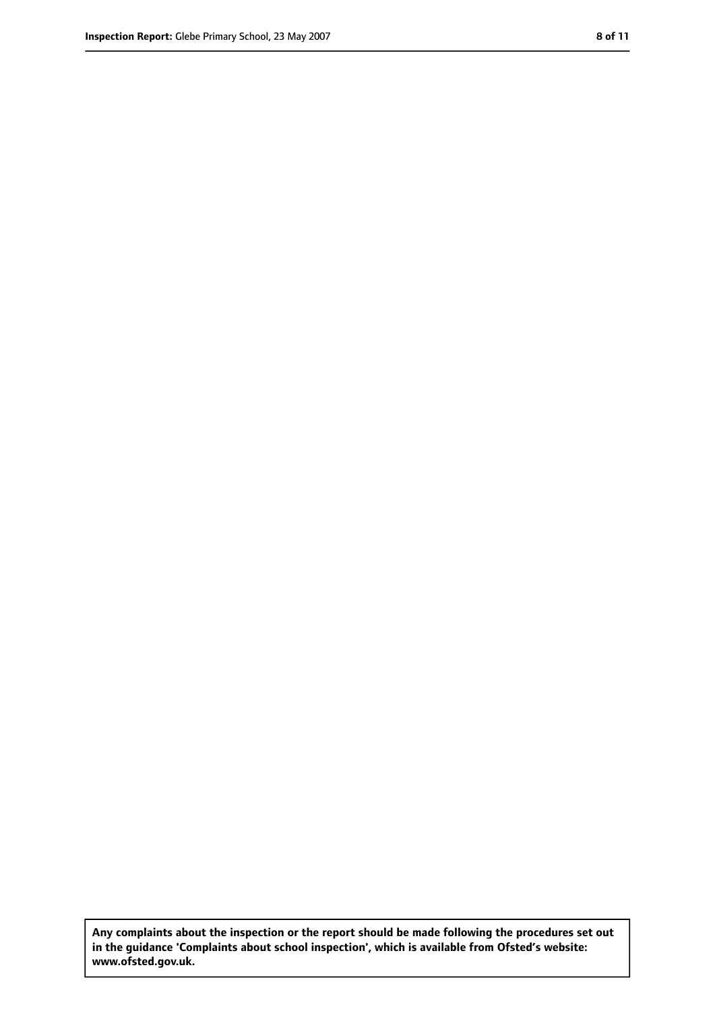**Any complaints about the inspection or the report should be made following the procedures set out in the guidance 'Complaints about school inspection', which is available from Ofsted's website: www.ofsted.gov.uk.**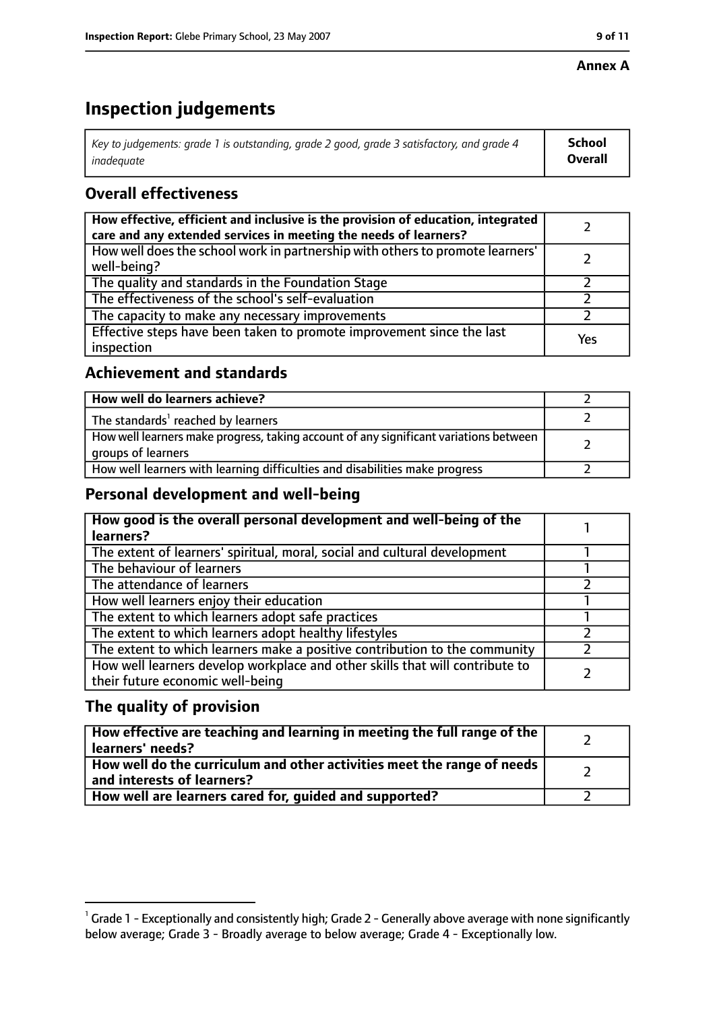#### **Annex A**

# **Inspection judgements**

| Key to judgements: grade 1 is outstanding, grade 2 good, grade 3 satisfactory, and grade 4 $\,$ | <b>School</b>  |
|-------------------------------------------------------------------------------------------------|----------------|
| inadequate                                                                                      | <b>Overall</b> |

## **Overall effectiveness**

| How effective, efficient and inclusive is the provision of education, integrated<br>care and any extended services in meeting the needs of learners? |     |
|------------------------------------------------------------------------------------------------------------------------------------------------------|-----|
| How well does the school work in partnership with others to promote learners'<br>well-being?                                                         |     |
| The quality and standards in the Foundation Stage                                                                                                    |     |
| The effectiveness of the school's self-evaluation                                                                                                    |     |
| The capacity to make any necessary improvements                                                                                                      |     |
| Effective steps have been taken to promote improvement since the last<br>inspection                                                                  | Yes |

## **Achievement and standards**

| How well do learners achieve?                                                                               |  |
|-------------------------------------------------------------------------------------------------------------|--|
| The standards <sup>1</sup> reached by learners                                                              |  |
| How well learners make progress, taking account of any significant variations between<br>groups of learners |  |
| How well learners with learning difficulties and disabilities make progress                                 |  |

## **Personal development and well-being**

| How good is the overall personal development and well-being of the<br>learners?                                  |  |
|------------------------------------------------------------------------------------------------------------------|--|
| The extent of learners' spiritual, moral, social and cultural development                                        |  |
| The behaviour of learners                                                                                        |  |
| The attendance of learners                                                                                       |  |
| How well learners enjoy their education                                                                          |  |
| The extent to which learners adopt safe practices                                                                |  |
| The extent to which learners adopt healthy lifestyles                                                            |  |
| The extent to which learners make a positive contribution to the community                                       |  |
| How well learners develop workplace and other skills that will contribute to<br>their future economic well-being |  |

## **The quality of provision**

| How effective are teaching and learning in meeting the full range of the<br>learners' needs?          |  |
|-------------------------------------------------------------------------------------------------------|--|
| How well do the curriculum and other activities meet the range of needs<br>and interests of learners? |  |
| How well are learners cared for, quided and supported?                                                |  |

 $^1$  Grade 1 - Exceptionally and consistently high; Grade 2 - Generally above average with none significantly below average; Grade 3 - Broadly average to below average; Grade 4 - Exceptionally low.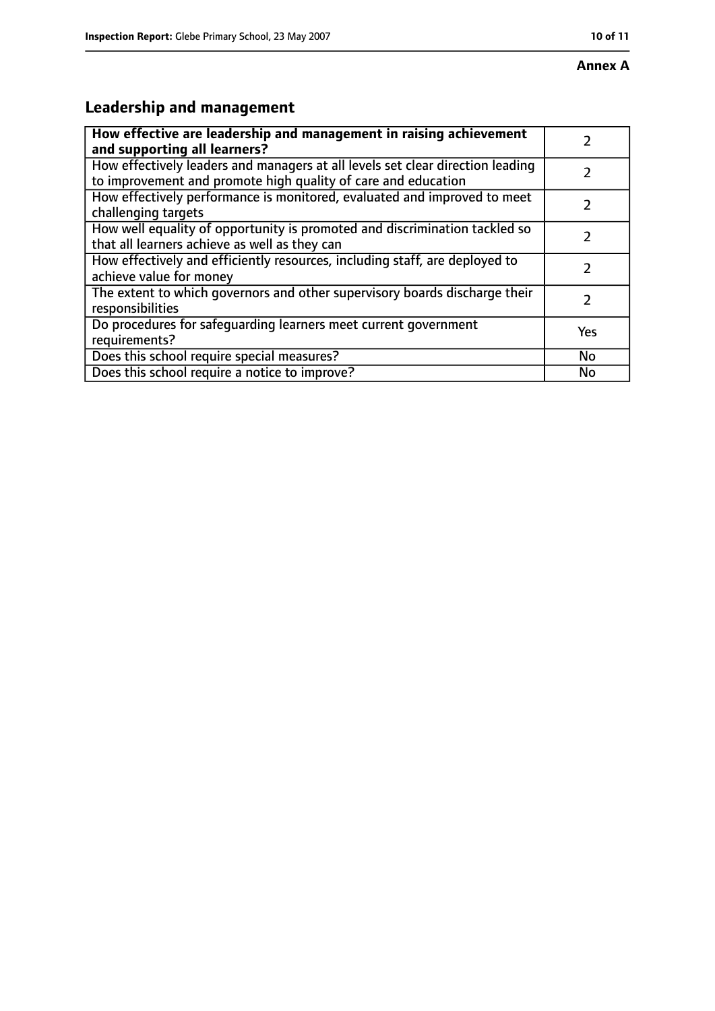#### **Annex A**

# **Leadership and management**

| How effective are leadership and management in raising achievement                                                                              |     |
|-------------------------------------------------------------------------------------------------------------------------------------------------|-----|
| and supporting all learners?                                                                                                                    |     |
| How effectively leaders and managers at all levels set clear direction leading<br>to improvement and promote high quality of care and education |     |
| How effectively performance is monitored, evaluated and improved to meet<br>challenging targets                                                 |     |
| How well equality of opportunity is promoted and discrimination tackled so<br>that all learners achieve as well as they can                     |     |
| How effectively and efficiently resources, including staff, are deployed to<br>achieve value for money                                          |     |
| The extent to which governors and other supervisory boards discharge their<br>responsibilities                                                  |     |
| Do procedures for safequarding learners meet current government<br>requirements?                                                                | Yes |
| Does this school require special measures?                                                                                                      | No  |
| Does this school require a notice to improve?                                                                                                   | No  |